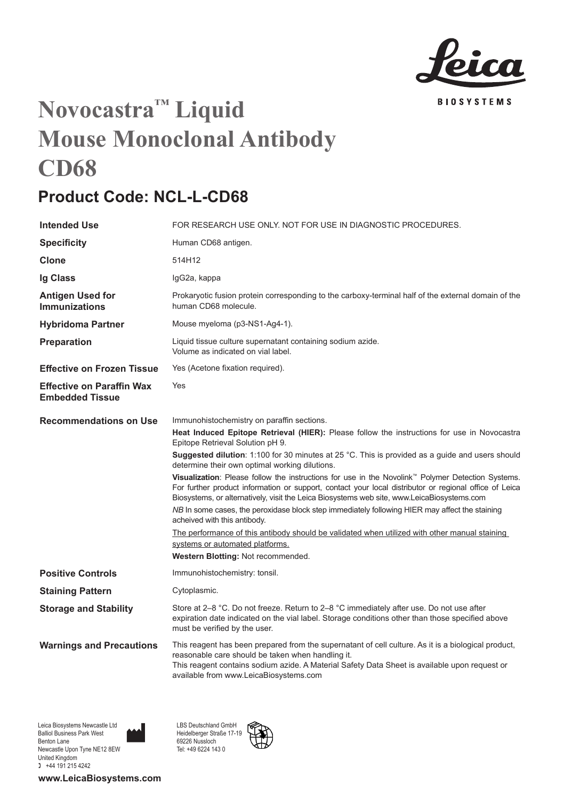

## **Novocastra™ Liquid Mouse Monoclonal Antibody CD68**

## **Product Code: NCL-L-CD68**

| <b>Intended Use</b>                                        | FOR RESEARCH USE ONLY. NOT FOR USE IN DIAGNOSTIC PROCEDURES.                                                                                                                                                                                                                                                                                                                                                                                                                                                                                                                                                                                                                                                                                                                                                                                                                                                                                                            |
|------------------------------------------------------------|-------------------------------------------------------------------------------------------------------------------------------------------------------------------------------------------------------------------------------------------------------------------------------------------------------------------------------------------------------------------------------------------------------------------------------------------------------------------------------------------------------------------------------------------------------------------------------------------------------------------------------------------------------------------------------------------------------------------------------------------------------------------------------------------------------------------------------------------------------------------------------------------------------------------------------------------------------------------------|
| <b>Specificity</b>                                         | Human CD68 antigen.                                                                                                                                                                                                                                                                                                                                                                                                                                                                                                                                                                                                                                                                                                                                                                                                                                                                                                                                                     |
| Clone                                                      | 514H12                                                                                                                                                                                                                                                                                                                                                                                                                                                                                                                                                                                                                                                                                                                                                                                                                                                                                                                                                                  |
| Ig Class                                                   | IgG2a, kappa                                                                                                                                                                                                                                                                                                                                                                                                                                                                                                                                                                                                                                                                                                                                                                                                                                                                                                                                                            |
| Antigen Used for<br><b>Immunizations</b>                   | Prokaryotic fusion protein corresponding to the carboxy-terminal half of the external domain of the<br>human CD68 molecule.                                                                                                                                                                                                                                                                                                                                                                                                                                                                                                                                                                                                                                                                                                                                                                                                                                             |
| <b>Hybridoma Partner</b>                                   | Mouse myeloma (p3-NS1-Ag4-1).                                                                                                                                                                                                                                                                                                                                                                                                                                                                                                                                                                                                                                                                                                                                                                                                                                                                                                                                           |
| Preparation                                                | Liquid tissue culture supernatant containing sodium azide.<br>Volume as indicated on vial label.                                                                                                                                                                                                                                                                                                                                                                                                                                                                                                                                                                                                                                                                                                                                                                                                                                                                        |
| <b>Effective on Frozen Tissue</b>                          | Yes (Acetone fixation required).                                                                                                                                                                                                                                                                                                                                                                                                                                                                                                                                                                                                                                                                                                                                                                                                                                                                                                                                        |
| <b>Effective on Paraffin Wax</b><br><b>Embedded Tissue</b> | Yes                                                                                                                                                                                                                                                                                                                                                                                                                                                                                                                                                                                                                                                                                                                                                                                                                                                                                                                                                                     |
| <b>Recommendations on Use</b>                              | Immunohistochemistry on paraffin sections.<br>Heat Induced Epitope Retrieval (HIER): Please follow the instructions for use in Novocastra<br>Epitope Retrieval Solution pH 9.<br>Suggested dilution: 1:100 for 30 minutes at 25 °C. This is provided as a guide and users should<br>determine their own optimal working dilutions.<br>Visualization: Please follow the instructions for use in the Novolink <sup>™</sup> Polymer Detection Systems.<br>For further product information or support, contact your local distributor or regional office of Leica<br>Biosystems, or alternatively, visit the Leica Biosystems web site, www.LeicaBiosystems.com<br>NB In some cases, the peroxidase block step immediately following HIER may affect the staining<br>acheived with this antibody.<br>The performance of this antibody should be validated when utilized with other manual staining<br>systems or automated platforms.<br>Western Blotting: Not recommended. |
| <b>Positive Controls</b>                                   | Immunohistochemistry: tonsil.                                                                                                                                                                                                                                                                                                                                                                                                                                                                                                                                                                                                                                                                                                                                                                                                                                                                                                                                           |
| <b>Staining Pattern</b>                                    | Cytoplasmic.                                                                                                                                                                                                                                                                                                                                                                                                                                                                                                                                                                                                                                                                                                                                                                                                                                                                                                                                                            |
| <b>Storage and Stability</b>                               | Store at $2-8$ °C. Do not freeze. Return to $2-8$ °C immediately after use. Do not use after<br>expiration date indicated on the vial label. Storage conditions other than those specified above<br>must be verified by the user.                                                                                                                                                                                                                                                                                                                                                                                                                                                                                                                                                                                                                                                                                                                                       |
| <b>Warnings and Precautions</b>                            | This reagent has been prepared from the supernatant of cell culture. As it is a biological product,<br>reasonable care should be taken when handling it.<br>This reagent contains sodium azide. A Material Safety Data Sheet is available upon request or<br>available from www.LeicaBiosystems.com                                                                                                                                                                                                                                                                                                                                                                                                                                                                                                                                                                                                                                                                     |

Leica Biosystems Newcastle Ltd Balliol Business Park West Benton Lane Newcastle Upon Tyne NE12 8EW United Kingdom  $+44$  191 215 4242

**www.LeicaBiosystems.com**

LBS Deutschland GmbH Heidelberger Straße 17-19 69226 Nussloch Tel: +49 6224 143 0